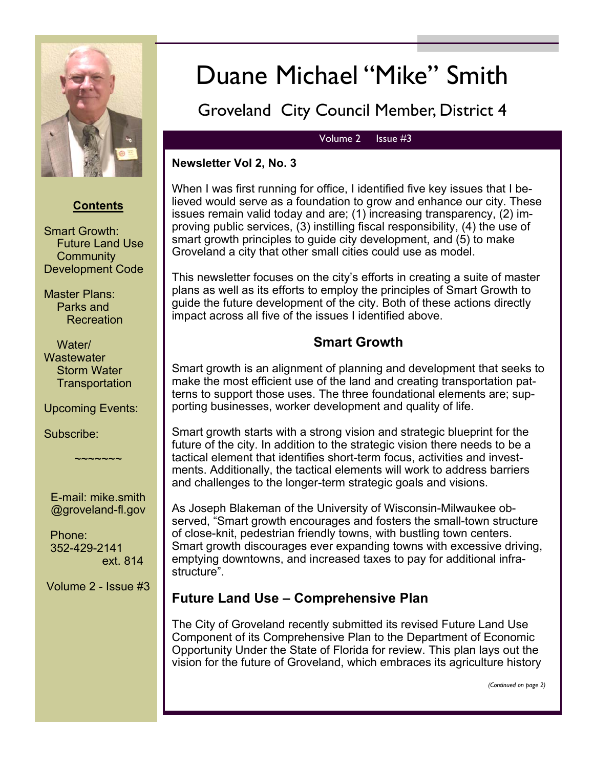

#### **Contents**

Smart Growth: Future Land Use **Community** Development Code

Master Plans: Parks and **Recreation** 

 Water/ **Wastewater**  Storm Water **Transportation** 

Upcoming Events:

Subscribe:

E-mail: mike.smith @groveland-fl.gov

 $\sim$  $\sim$  $\sim$  $\sim$  $\sim$ 

 Phone: 352-429-2141 ext. 814

Volume 2 - Issue #3

# Duane Michael "Mike" Smith

## Groveland City Council Member, District 4

#### Volume 2 Issue #3

#### **Newsletter Vol 2, No. 3**

When I was first running for office, I identified five key issues that I believed would serve as a foundation to grow and enhance our city. These issues remain valid today and are; (1) increasing transparency, (2) improving public services, (3) instilling fiscal responsibility, (4) the use of smart growth principles to guide city development, and (5) to make Groveland a city that other small cities could use as model.

This newsletter focuses on the city's efforts in creating a suite of master plans as well as its efforts to employ the principles of Smart Growth to guide the future development of the city. Both of these actions directly impact across all five of the issues I identified above.

### **Smart Growth**

Smart growth is an alignment of planning and development that seeks to make the most efficient use of the land and creating transportation patterns to support those uses. The three foundational elements are; supporting businesses, worker development and quality of life.

Smart growth starts with a strong vision and strategic blueprint for the future of the city. In addition to the strategic vision there needs to be a tactical element that identifies short-term focus, activities and investments. Additionally, the tactical elements will work to address barriers and challenges to the longer-term strategic goals and visions.

As Joseph Blakeman of the University of Wisconsin-Milwaukee observed, "Smart growth encourages and fosters the small-town structure of close-knit, pedestrian friendly towns, with bustling town centers. Smart growth discourages ever expanding towns with excessive driving, emptying downtowns, and increased taxes to pay for additional infrastructure".

### **Future Land Use – Comprehensive Plan**

The City of Groveland recently submitted its revised Future Land Use Component of its Comprehensive Plan to the Department of Economic Opportunity Under the State of Florida for review. This plan lays out the vision for the future of Groveland, which embraces its agriculture history

*(Continued on page 2)*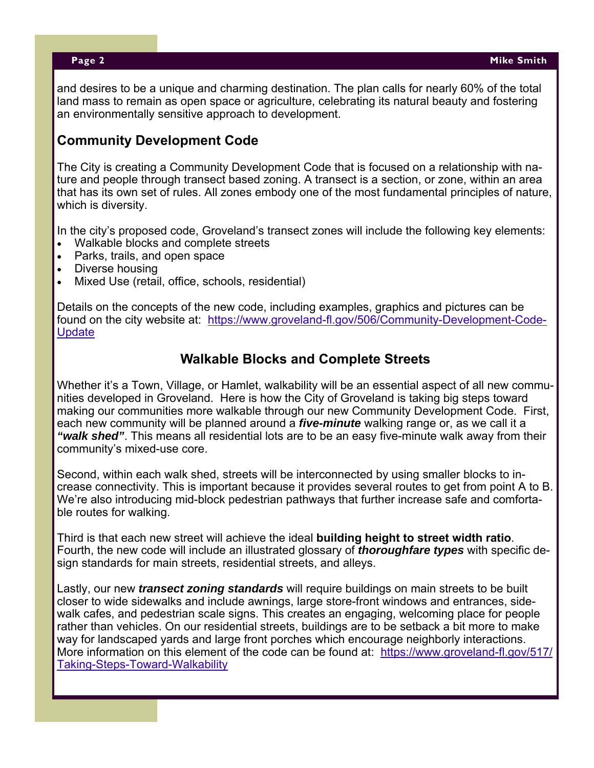and desires to be a unique and charming destination. The plan calls for nearly 60% of the total land mass to remain as open space or agriculture, celebrating its natural beauty and fostering an environmentally sensitive approach to development.

#### **Community Development Code**

The City is creating a Community Development Code that is focused on a relationship with nature and people through transect based zoning. A transect is a section, or zone, within an area that has its own set of rules. All zones embody one of the most fundamental principles of nature, which is diversity.

In the city's proposed code, Groveland's transect zones will include the following key elements:

- Walkable blocks and complete streets
- Parks, trails, and open space
- Diverse housing
- Mixed Use (retail, office, schools, residential)

Details on the concepts of the new code, including examples, graphics and pictures can be found on the city website at: https://www.groveland-fl.gov/506/Community-Development-Code-**Update** 

#### **Walkable Blocks and Complete Streets**

Whether it's a Town, Village, or Hamlet, walkability will be an essential aspect of all new communities developed in Groveland. Here is how the City of Groveland is taking big steps toward making our communities more walkable through our new Community Development Code. First, each new community will be planned around a *five-minute* walking range or, as we call it a *"walk shed"*. This means all residential lots are to be an easy five-minute walk away from their community's mixed-use core.

Second, within each walk shed, streets will be interconnected by using smaller blocks to increase connectivity. This is important because it provides several routes to get from point A to B. We're also introducing mid-block pedestrian pathways that further increase safe and comfortable routes for walking.

Third is that each new street will achieve the ideal **building height to street width ratio**. Fourth, the new code will include an illustrated glossary of *thoroughfare types* with specific design standards for main streets, residential streets, and alleys.

Lastly, our new *transect zoning standards* will require buildings on main streets to be built closer to wide sidewalks and include awnings, large store-front windows and entrances, sidewalk cafes, and pedestrian scale signs. This creates an engaging, welcoming place for people rather than vehicles. On our residential streets, buildings are to be setback a bit more to make way for landscaped yards and large front porches which encourage neighborly interactions. More information on this element of the code can be found at: https://www.groveland-fl.gov/517/ Taking-Steps-Toward-Walkability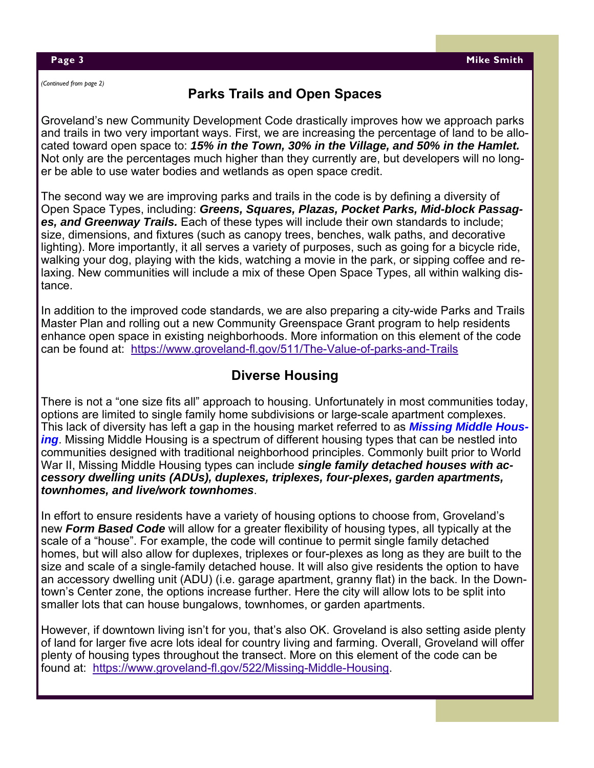*(Continued from page 2)* 

#### **Parks Trails and Open Spaces**

Groveland's new Community Development Code drastically improves how we approach parks and trails in two very important ways. First, we are increasing the percentage of land to be allocated toward open space to: *15% in the Town, 30% in the Village, and 50% in the Hamlet.*  Not only are the percentages much higher than they currently are, but developers will no longer be able to use water bodies and wetlands as open space credit.

The second way we are improving parks and trails in the code is by defining a diversity of Open Space Types, including: *Greens, Squares, Plazas, Pocket Parks, Mid-block Passages, and Greenway Trails.* Each of these types will include their own standards to include; size, dimensions, and fixtures (such as canopy trees, benches, walk paths, and decorative lighting). More importantly, it all serves a variety of purposes, such as going for a bicycle ride, walking your dog, playing with the kids, watching a movie in the park, or sipping coffee and relaxing. New communities will include a mix of these Open Space Types, all within walking distance.

In addition to the improved code standards, we are also preparing a city-wide Parks and Trails Master Plan and rolling out a new Community Greenspace Grant program to help residents enhance open space in existing neighborhoods. More information on this element of the code can be found at: https://www.groveland-fl.gov/511/The-Value-of-parks-and-Trails

#### **Diverse Housing**

There is not a "one size fits all" approach to housing. Unfortunately in most communities today, options are limited to single family home subdivisions or large-scale apartment complexes. This lack of diversity has left a gap in the housing market referred to as *Missing Middle Housing*. Missing Middle Housing is a spectrum of different housing types that can be nestled into communities designed with traditional neighborhood principles. Commonly built prior to World War II, Missing Middle Housing types can include *single family detached houses with accessory dwelling units (ADUs), duplexes, triplexes, four-plexes, garden apartments, townhomes, and live/work townhomes*.

In effort to ensure residents have a variety of housing options to choose from, Groveland's new *Form Based Code* will allow for a greater flexibility of housing types, all typically at the scale of a "house". For example, the code will continue to permit single family detached homes, but will also allow for duplexes, triplexes or four-plexes as long as they are built to the size and scale of a single-family detached house. It will also give residents the option to have an accessory dwelling unit (ADU) (i.e. garage apartment, granny flat) in the back. In the Downtown's Center zone, the options increase further. Here the city will allow lots to be split into smaller lots that can house bungalows, townhomes, or garden apartments.

However, if downtown living isn't for you, that's also OK. Groveland is also setting aside plenty of land for larger five acre lots ideal for country living and farming. Overall, Groveland will offer plenty of housing types throughout the transect. More on this element of the code can be found at: https://www.groveland-fl.gov/522/Missing-Middle-Housing.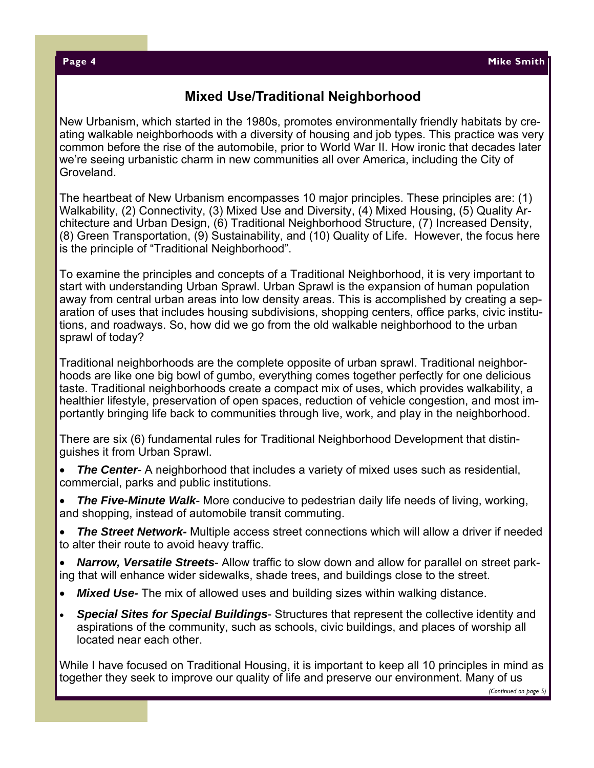### **Mixed Use/Traditional Neighborhood**

New Urbanism, which started in the 1980s, promotes environmentally friendly habitats by creating walkable neighborhoods with a diversity of housing and job types. This practice was very common before the rise of the automobile, prior to World War II. How ironic that decades later we're seeing urbanistic charm in new communities all over America, including the City of Groveland.

The heartbeat of New Urbanism encompasses 10 major principles. These principles are: (1) Walkability, (2) Connectivity, (3) Mixed Use and Diversity, (4) Mixed Housing, (5) Quality Architecture and Urban Design, (6) Traditional Neighborhood Structure, (7) Increased Density, (8) Green Transportation, (9) Sustainability, and (10) Quality of Life. However, the focus here is the principle of "Traditional Neighborhood".

To examine the principles and concepts of a Traditional Neighborhood, it is very important to start with understanding Urban Sprawl. Urban Sprawl is the expansion of human population away from central urban areas into low density areas. This is accomplished by creating a separation of uses that includes housing subdivisions, shopping centers, office parks, civic institutions, and roadways. So, how did we go from the old walkable neighborhood to the urban sprawl of today?

Traditional neighborhoods are the complete opposite of urban sprawl. Traditional neighborhoods are like one big bowl of gumbo, everything comes together perfectly for one delicious taste. Traditional neighborhoods create a compact mix of uses, which provides walkability, a healthier lifestyle, preservation of open spaces, reduction of vehicle congestion, and most importantly bringing life back to communities through live, work, and play in the neighborhood.

There are six (6) fundamental rules for Traditional Neighborhood Development that distinguishes it from Urban Sprawl.

- *The Center* A neighborhood that includes a variety of mixed uses such as residential, commercial, parks and public institutions.
- *The Five-Minute Walk* More conducive to pedestrian daily life needs of living, working, and shopping, instead of automobile transit commuting.
- *The Street Network-* Multiple access street connections which will allow a driver if needed to alter their route to avoid heavy traffic.
- *Narrow, Versatile Streets* Allow traffic to slow down and allow for parallel on street parking that will enhance wider sidewalks, shade trees, and buildings close to the street.
- *Mixed Use-* The mix of allowed uses and building sizes within walking distance.
- *Special Sites for Special Buildings* Structures that represent the collective identity and aspirations of the community, such as schools, civic buildings, and places of worship all located near each other.

While I have focused on Traditional Housing, it is important to keep all 10 principles in mind as together they seek to improve our quality of life and preserve our environment. Many of us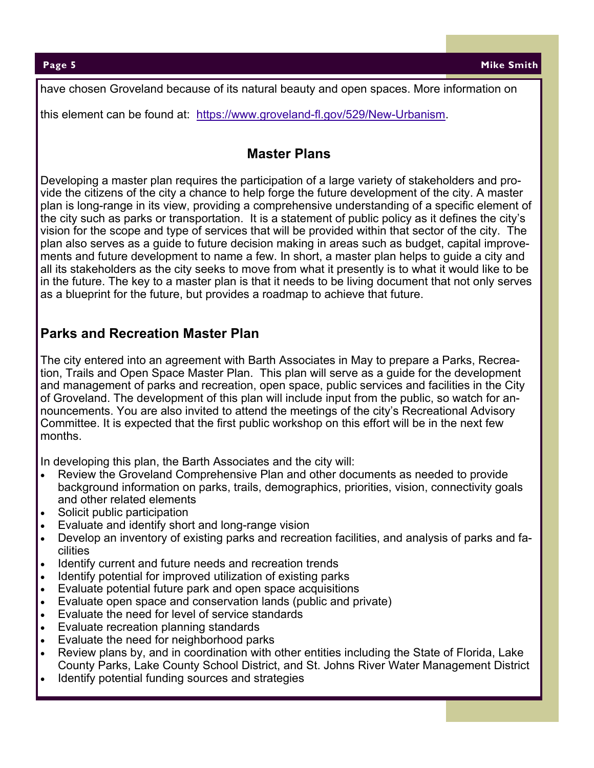have chosen Groveland because of its natural beauty and open spaces. More information on

this element can be found at: https://www.groveland-fl.gov/529/New-Urbanism.

### **Master Plans**

Developing a master plan requires the participation of a large variety of stakeholders and provide the citizens of the city a chance to help forge the future development of the city. A master plan is long-range in its view, providing a comprehensive understanding of a specific element of the city such as parks or transportation. It is a statement of public policy as it defines the city's vision for the scope and type of services that will be provided within that sector of the city. The plan also serves as a guide to future decision making in areas such as budget, capital improvements and future development to name a few. In short, a master plan helps to guide a city and all its stakeholders as the city seeks to move from what it presently is to what it would like to be in the future. The key to a master plan is that it needs to be living document that not only serves as a blueprint for the future, but provides a roadmap to achieve that future.

#### **Parks and Recreation Master Plan**

The city entered into an agreement with Barth Associates in May to prepare a Parks, Recreation, Trails and Open Space Master Plan. This plan will serve as a guide for the development and management of parks and recreation, open space, public services and facilities in the City of Groveland. The development of this plan will include input from the public, so watch for announcements. You are also invited to attend the meetings of the city's Recreational Advisory Committee. It is expected that the first public workshop on this effort will be in the next few months.

In developing this plan, the Barth Associates and the city will:

- Review the Groveland Comprehensive Plan and other documents as needed to provide background information on parks, trails, demographics, priorities, vision, connectivity goals and other related elements
- Solicit public participation
- Evaluate and identify short and long-range vision
- Develop an inventory of existing parks and recreation facilities, and analysis of parks and facilities
- Identify current and future needs and recreation trends
- Identify potential for improved utilization of existing parks
- Evaluate potential future park and open space acquisitions
- Evaluate open space and conservation lands (public and private)
- Evaluate the need for level of service standards
- Evaluate recreation planning standards
- Evaluate the need for neighborhood parks
- Review plans by, and in coordination with other entities including the State of Florida, Lake County Parks, Lake County School District, and St. Johns River Water Management District
- Identify potential funding sources and strategies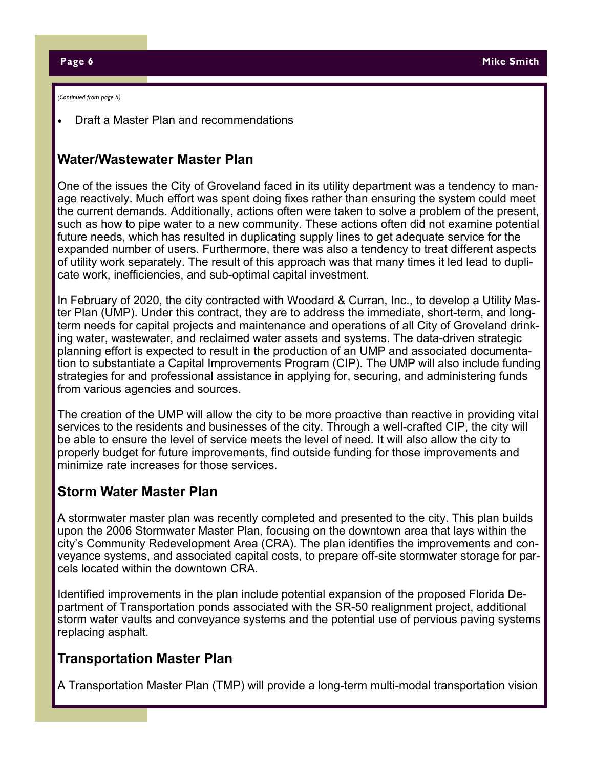*(Continued from page 5)* 

Draft a Master Plan and recommendations

#### **Water/Wastewater Master Plan**

One of the issues the City of Groveland faced in its utility department was a tendency to manage reactively. Much effort was spent doing fixes rather than ensuring the system could meet the current demands. Additionally, actions often were taken to solve a problem of the present, such as how to pipe water to a new community. These actions often did not examine potential future needs, which has resulted in duplicating supply lines to get adequate service for the expanded number of users. Furthermore, there was also a tendency to treat different aspects of utility work separately. The result of this approach was that many times it led lead to duplicate work, inefficiencies, and sub-optimal capital investment.

In February of 2020, the city contracted with Woodard & Curran, Inc., to develop a Utility Master Plan (UMP). Under this contract, they are to address the immediate, short-term, and longterm needs for capital projects and maintenance and operations of all City of Groveland drinking water, wastewater, and reclaimed water assets and systems. The data-driven strategic planning effort is expected to result in the production of an UMP and associated documentation to substantiate a Capital Improvements Program (CIP). The UMP will also include funding strategies for and professional assistance in applying for, securing, and administering funds from various agencies and sources.

The creation of the UMP will allow the city to be more proactive than reactive in providing vital services to the residents and businesses of the city. Through a well-crafted CIP, the city will be able to ensure the level of service meets the level of need. It will also allow the city to properly budget for future improvements, find outside funding for those improvements and minimize rate increases for those services.

#### **Storm Water Master Plan**

A stormwater master plan was recently completed and presented to the city. This plan builds upon the 2006 Stormwater Master Plan, focusing on the downtown area that lays within the city's Community Redevelopment Area (CRA). The plan identifies the improvements and conveyance systems, and associated capital costs, to prepare off-site stormwater storage for parcels located within the downtown CRA.

Identified improvements in the plan include potential expansion of the proposed Florida Department of Transportation ponds associated with the SR-50 realignment project, additional storm water vaults and conveyance systems and the potential use of pervious paving systems replacing asphalt.

#### **Transportation Master Plan**

A Transportation Master Plan (TMP) will provide a long-term multi-modal transportation vision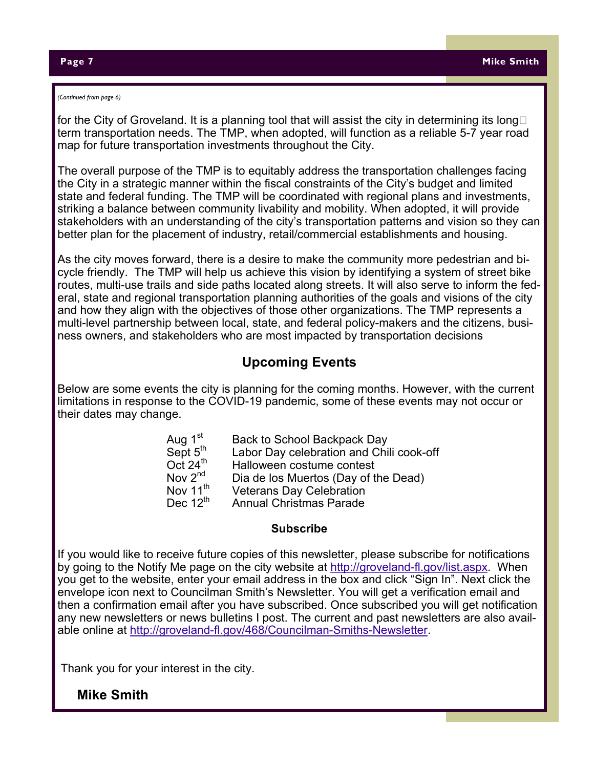#### *(Continued from page 6)*

for the City of Groveland. It is a planning tool that will assist the city in determining its long $\Box$ term transportation needs. The TMP, when adopted, will function as a reliable 5-7 year road map for future transportation investments throughout the City.

The overall purpose of the TMP is to equitably address the transportation challenges facing the City in a strategic manner within the fiscal constraints of the City's budget and limited state and federal funding. The TMP will be coordinated with regional plans and investments, striking a balance between community livability and mobility. When adopted, it will provide stakeholders with an understanding of the city's transportation patterns and vision so they can better plan for the placement of industry, retail/commercial establishments and housing.

As the city moves forward, there is a desire to make the community more pedestrian and bicycle friendly. The TMP will help us achieve this vision by identifying a system of street bike routes, multi-use trails and side paths located along streets. It will also serve to inform the federal, state and regional transportation planning authorities of the goals and visions of the city and how they align with the objectives of those other organizations. The TMP represents a multi-level partnership between local, state, and federal policy-makers and the citizens, business owners, and stakeholders who are most impacted by transportation decisions

#### **Upcoming Events**

Below are some events the city is planning for the coming months. However, with the current limitations in response to the COVID-19 pandemic, some of these events may not occur or their dates may change.

| Aug 1 <sup>st</sup>  | Back to School Backpack Day              |
|----------------------|------------------------------------------|
| Sept $5th$           | Labor Day celebration and Chili cook-off |
| Oct $24^{th}$        | Halloween costume contest                |
| Nov $2^{nd}$         | Dia de los Muertos (Day of the Dead)     |
| Nov $11^{\text{th}}$ | <b>Veterans Day Celebration</b>          |
| Dec $12^{\text{th}}$ | <b>Annual Christmas Parade</b>           |

#### **Subscribe**

If you would like to receive future copies of this newsletter, please subscribe for notifications by going to the Notify Me page on the city website at http://groveland-fl.gov/list.aspx. When you get to the website, enter your email address in the box and click "Sign In". Next click the envelope icon next to Councilman Smith's Newsletter. You will get a verification email and then a confirmation email after you have subscribed. Once subscribed you will get notification any new newsletters or news bulletins I post. The current and past newsletters are also available online at http://groveland-fl.gov/468/Councilman-Smiths-Newsletter.

Thank you for your interest in the city.

**Mike Smith**